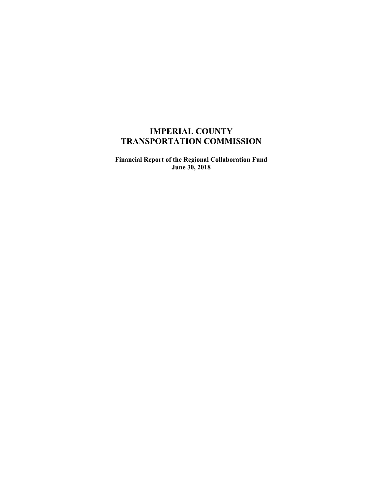# **IMPERIAL COUNTY TRANSPORTATION COMMISSION**

**Financial Report of the Regional Collaboration Fund June 30, 2018**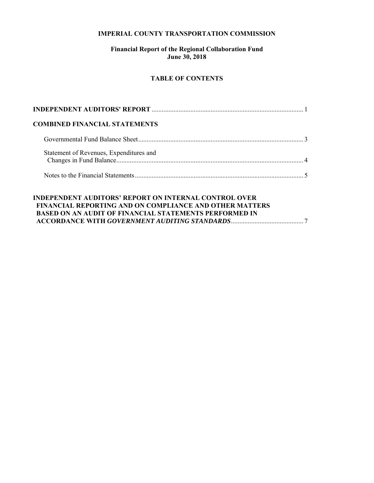### **IMPERIAL COUNTY TRANSPORTATION COMMISSION**

# **Financial Report of the Regional Collaboration Fund June 30, 2018**

# **TABLE OF CONTENTS**

| <b>COMBINED FINANCIAL STATEMENTS</b>                                                                                                                                                            |  |
|-------------------------------------------------------------------------------------------------------------------------------------------------------------------------------------------------|--|
|                                                                                                                                                                                                 |  |
| Statement of Revenues, Expenditures and                                                                                                                                                         |  |
|                                                                                                                                                                                                 |  |
| <b>INDEPENDENT AUDITORS' REPORT ON INTERNAL CONTROL OVER</b><br><b>FINANCIAL REPORTING AND ON COMPLIANCE AND OTHER MATTERS</b><br><b>BASED ON AN AUDIT OF FINANCIAL STATEMENTS PERFORMED IN</b> |  |

 **ACCORDANCE WITH** *GOVERNMENT AUDITING STANDARDS* ........................................... 7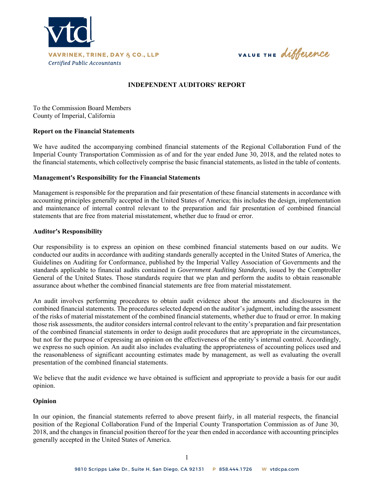

VALUE THE difference

### **INDEPENDENT AUDITORS' REPORT**

To the Commission Board Members County of Imperial, California

#### **Report on the Financial Statements**

We have audited the accompanying combined financial statements of the Regional Collaboration Fund of the Imperial County Transportation Commission as of and for the year ended June 30, 2018, and the related notes to the financial statements, which collectively comprise the basic financial statements, as listed in the table of contents.

#### **Management's Responsibility for the Financial Statements**

Management is responsible for the preparation and fair presentation of these financial statements in accordance with accounting principles generally accepted in the United States of America; this includes the design, implementation and maintenance of internal control relevant to the preparation and fair presentation of combined financial statements that are free from material misstatement, whether due to fraud or error.

#### **Auditor's Responsibility**

Our responsibility is to express an opinion on these combined financial statements based on our audits. We conducted our audits in accordance with auditing standards generally accepted in the United States of America, the Guidelines on Auditing for Conformance, published by the Imperial Valley Association of Governments and the standards applicable to financial audits contained in *Government Auditing Standards*, issued by the Comptroller General of the United States. Those standards require that we plan and perform the audits to obtain reasonable assurance about whether the combined financial statements are free from material misstatement.

An audit involves performing procedures to obtain audit evidence about the amounts and disclosures in the combined financial statements. The procedures selected depend on the auditor's judgment, including the assessment of the risks of material misstatement of the combined financial statements, whether due to fraud or error. In making those risk assessments, the auditor considers internal control relevant to the entity's preparation and fair presentation of the combined financial statements in order to design audit procedures that are appropriate in the circumstances, but not for the purpose of expressing an opinion on the effectiveness of the entity's internal control. Accordingly, we express no such opinion. An audit also includes evaluating the appropriateness of accounting polices used and the reasonableness of significant accounting estimates made by management, as well as evaluating the overall presentation of the combined financial statements.

We believe that the audit evidence we have obtained is sufficient and appropriate to provide a basis for our audit opinion.

#### **Opinion**

In our opinion, the financial statements referred to above present fairly, in all material respects, the financial position of the Regional Collaboration Fund of the Imperial County Transportation Commission as of June 30, 2018, and the changes in financial position thereof for the year then ended in accordance with accounting principles generally accepted in the United States of America.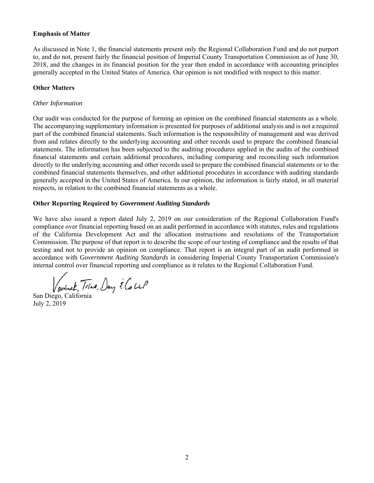### **Emphasis of Matter**

As discussed in Note 1, the financial statements present only the Regional Collaboration Fund and do not purport to, and do not, present fairly the financial position of Imperial County Transportation Commission as of June 30, 2018, and the changes in its financial position for the year then ended in accordance with accounting principles generally accepted in the United States of America. Our opinion is not modified with respect to this matter.

# **Other Matters**

#### *Other Information*

Our audit was conducted for the purpose of forming an opinion on the combined financial statements as a whole. The accompanying supplementary information is presented for purposes of additional analysis and is not a required part of the combined financial statements. Such information is the responsibility of management and was derived from and relates directly to the underlying accounting and other records used to prepare the combined financial statements. The information has been subjected to the auditing procedures applied in the audits of the combined financial statements and certain additional procedures, including comparing and reconciling such information directly to the underlying accounting and other records used to prepare the combined financial statements or to the combined financial statements themselves, and other additional procedures in accordance with auditing standards generally accepted in the United States of America. In our opinion, the information is fairly stated, in all material respects, in relation to the combined financial statements as a whole.

#### **Other Reporting Required by** *Government Auditing Standards*

We have also issued a report dated July 2, 2019 on our consideration of the Regional Collaboration Fund's compliance over financial reporting based on an audit performed in accordance with statutes, rules and regulations of the California Development Act and the allocation instructions and resolutions of the Transportation Commission. The purpose of that report is to describe the scope of our testing of compliance and the results of that testing and not to provide an opinion on compliance. That report is an integral part of an audit performed in accordance with *Government Auditing Standards* in considering Imperial County Transportation Commission's internal control over financial reporting and compliance as it relates to the Regional Collaboration Fund.

avinek, Trine, Day & Coup

San Diego, California July 2, 2019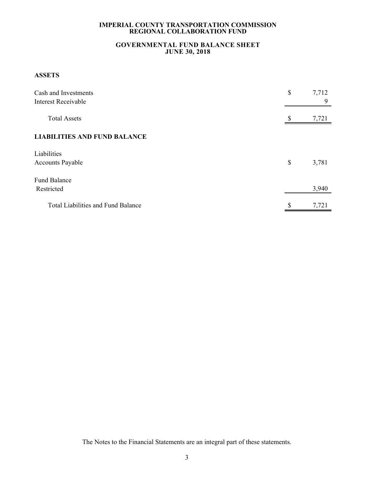# **GOVERNMENTAL FUND BALANCE SHEET JUNE 30, 2018**

# **ASSETS**

| Cash and Investments<br>Interest Receivable | \$ | 7,712<br>9 |
|---------------------------------------------|----|------------|
| <b>Total Assets</b>                         | \$ | 7,721      |
| <b>LIABILITIES AND FUND BALANCE</b>         |    |            |
| Liabilities                                 |    |            |
| <b>Accounts Payable</b>                     | \$ | 3,781      |
| <b>Fund Balance</b>                         |    |            |
| Restricted                                  |    | 3,940      |
| <b>Total Liabilities and Fund Balance</b>   | \$ | 7,721      |

The Notes to the Financial Statements are an integral part of these statements.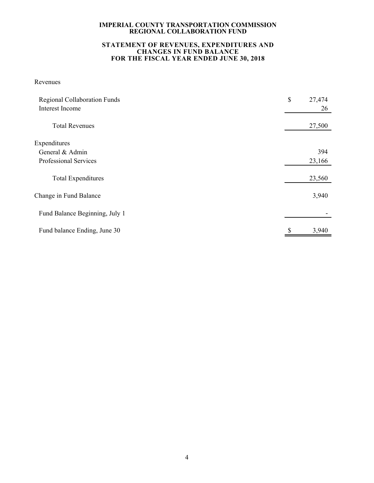#### **STATEMENT OF REVENUES, EXPENDITURES AND CHANGES IN FUND BALANCE FOR THE FISCAL YEAR ENDED JUNE 30, 2018**

# Revenues

| <b>Regional Collaboration Funds</b><br>Interest Income | \$<br>27,474<br>26 |
|--------------------------------------------------------|--------------------|
| <b>Total Revenues</b>                                  | 27,500             |
| Expenditures                                           |                    |
| General & Admin                                        | 394                |
| Professional Services                                  | 23,166             |
| <b>Total Expenditures</b>                              | 23,560             |
| Change in Fund Balance                                 | 3,940              |
| Fund Balance Beginning, July 1                         |                    |
| Fund balance Ending, June 30                           | 3,940              |
|                                                        |                    |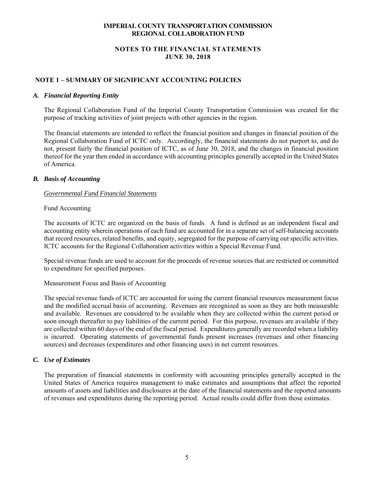# **NOTES TO THE FINANCIAL STATEMENTS JUNE 30, 2018**

# **NOTE 1 – SUMMARY OF SIGNIFICANT ACCOUNTING POLICIES**

#### *A. Financial Reporting Entity*

The Regional Collaboration Fund of the Imperial County Transportation Commission was created for the purpose of tracking activities of joint projects with other agencies in the region.

The financial statements are intended to reflect the financial position and changes in financial position of the Regional Collaboration Fund of ICTC only. Accordingly, the financial statements do not purport to, and do not, present fairly the financial position of ICTC, as of June 30, 2018, and the changes in financial position thereof for the year then ended in accordance with accounting principles generally accepted in the United States of America.

### *B. Basis of Accounting*

### *Governmental Fund Financial Statements*

### Fund Accounting

The accounts of ICTC are organized on the basis of funds. A fund is defined as an independent fiscal and accounting entity wherein operations of each fund are accounted for in a separate set of self-balancing accounts that record resources, related benefits, and equity, segregated for the purpose of carrying out specific activities. ICTC accounts for the Regional Collaboration activities within a Special Revenue Fund.

Special revenue funds are used to account for the proceeds of revenue sources that are restricted or committed to expenditure for specified purposes.

### Measurement Focus and Basis of Accounting

The special revenue funds of ICTC are accounted for using the current financial resources measurement focus and the modified accrual basis of accounting. Revenues are recognized as soon as they are both measurable and available. Revenues are considered to be available when they are collected within the current period or soon enough thereafter to pay liabilities of the current period. For this purpose, revenues are available if they are collected within 60 days of the end of the fiscal period. Expenditures generally are recorded when a liability is incurred. Operating statements of governmental funds present increases (revenues and other financing sources) and decreases (expenditures and other financing uses) in net current resources.

### *C. Use of Estimates*

The preparation of financial statements in conformity with accounting principles generally accepted in the United States of America requires management to make estimates and assumptions that affect the reported amounts of assets and liabilities and disclosures at the date of the financial statements and the reported amounts of revenues and expenditures during the reporting period. Actual results could differ from those estimates.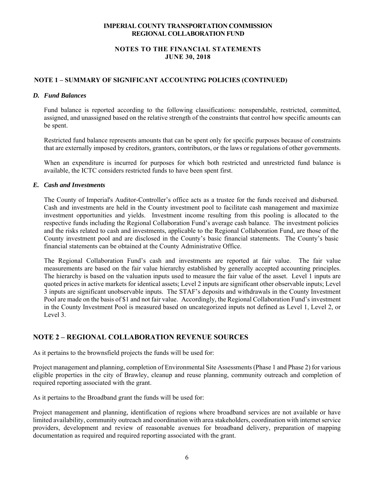# **NOTES TO THE FINANCIAL STATEMENTS JUNE 30, 2018**

# **NOTE 1 – SUMMARY OF SIGNIFICANT ACCOUNTING POLICIES (CONTINUED)**

### *D. Fund Balances*

Fund balance is reported according to the following classifications: nonspendable, restricted, committed, assigned, and unassigned based on the relative strength of the constraints that control how specific amounts can be spent.

Restricted fund balance represents amounts that can be spent only for specific purposes because of constraints that are externally imposed by creditors, grantors, contributors, or the laws or regulations of other governments.

When an expenditure is incurred for purposes for which both restricted and unrestricted fund balance is available, the ICTC considers restricted funds to have been spent first.

### *E. Cash and Investments*

The County of Imperial's Auditor-Controller's office acts as a trustee for the funds received and disbursed. Cash and investments are held in the County investment pool to facilitate cash management and maximize investment opportunities and yields. Investment income resulting from this pooling is allocated to the respective funds including the Regional Collaboration Fund's average cash balance. The investment policies and the risks related to cash and investments, applicable to the Regional Collaboration Fund, are those of the County investment pool and are disclosed in the County's basic financial statements. The County's basic financial statements can be obtained at the County Administrative Office.

The Regional Collaboration Fund's cash and investments are reported at fair value. The fair value measurements are based on the fair value hierarchy established by generally accepted accounting principles. The hierarchy is based on the valuation inputs used to measure the fair value of the asset. Level 1 inputs are quoted prices in active markets for identical assets; Level 2 inputs are significant other observable inputs; Level 3 inputs are significant unobservable inputs. The STAF's deposits and withdrawals in the County Investment Pool are made on the basis of \$1 and not fair value. Accordingly, the Regional Collaboration Fund's investment in the County Investment Pool is measured based on uncategorized inputs not defined as Level 1, Level 2, or Level 3.

# **NOTE 2 – REGIONAL COLLABORATION REVENUE SOURCES**

As it pertains to the brownsfield projects the funds will be used for:

Project management and planning, completion of Environmental Site Assessments (Phase 1 and Phase 2) for various eligible properties in the city of Brawley, cleanup and reuse planning, community outreach and completion of required reporting associated with the grant.

As it pertains to the Broadband grant the funds will be used for:

Project management and planning, identification of regions where broadband services are not available or have limited availability, community outreach and coordination with area stakeholders, coordination with internet service providers, development and review of reasonable avenues for broadband delivery, preparation of mapping documentation as required and required reporting associated with the grant.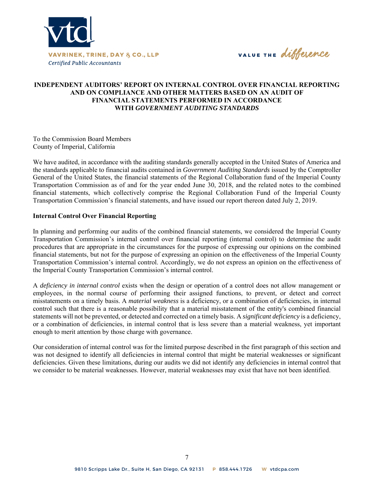

VALUE THE difference

# **INDEPENDENT AUDITORS' REPORT ON INTERNAL CONTROL OVER FINANCIAL REPORTING AND ON COMPLIANCE AND OTHER MATTERS BASED ON AN AUDIT OF FINANCIAL STATEMENTS PERFORMED IN ACCORDANCE WITH** *GOVERNMENT AUDITING STANDARDS*

To the Commission Board Members County of Imperial, California

We have audited, in accordance with the auditing standards generally accepted in the United States of America and the standards applicable to financial audits contained in *Government Auditing Standards* issued by the Comptroller General of the United States, the financial statements of the Regional Collaboration fund of the Imperial County Transportation Commission as of and for the year ended June 30, 2018, and the related notes to the combined financial statements, which collectively comprise the Regional Collaboration Fund of the Imperial County Transportation Commission's financial statements, and have issued our report thereon dated July 2, 2019.

#### **Internal Control Over Financial Reporting**

In planning and performing our audits of the combined financial statements, we considered the Imperial County Transportation Commission's internal control over financial reporting (internal control) to determine the audit procedures that are appropriate in the circumstances for the purpose of expressing our opinions on the combined financial statements, but not for the purpose of expressing an opinion on the effectiveness of the Imperial County Transportation Commission's internal control. Accordingly, we do not express an opinion on the effectiveness of the Imperial County Transportation Commission's internal control.

A *deficiency in internal control* exists when the design or operation of a control does not allow management or employees, in the normal course of performing their assigned functions, to prevent, or detect and correct misstatements on a timely basis. A *material weakness* is a deficiency, or a combination of deficiencies, in internal control such that there is a reasonable possibility that a material misstatement of the entity's combined financial statements will not be prevented, or detected and corrected on a timely basis. A *significant deficiency* is a deficiency, or a combination of deficiencies, in internal control that is less severe than a material weakness, yet important enough to merit attention by those charge with governance.

Our consideration of internal control was for the limited purpose described in the first paragraph of this section and was not designed to identify all deficiencies in internal control that might be material weaknesses or significant deficiencies. Given these limitations, during our audits we did not identify any deficiencies in internal control that we consider to be material weaknesses. However, material weaknesses may exist that have not been identified.